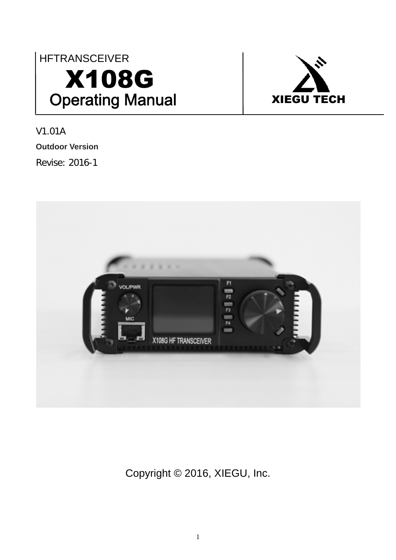## **HFTRANSCEIVER** X108G Operating Manual | XIEGU TECH



V1.01A **Outdoor Version** Revise: 2016-1



Copyright © 2016, XIEGU, Inc.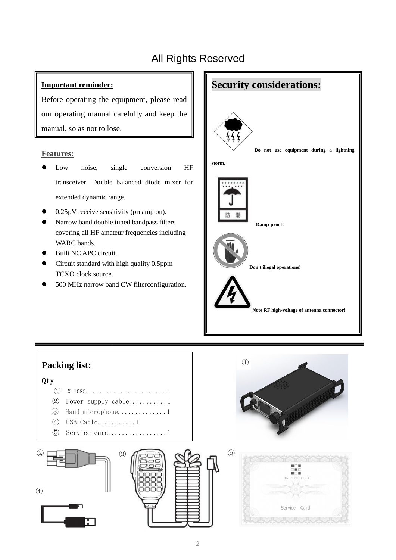### All Rights Reserved

#### **Important reminder:**

Before operating the equipment, please read our operating manual carefully and keep the manual, so as not to lose.

#### **Features:**

- Low noise, single conversion HF transceiver .Double balanced diode mixer for extended dynamic range.
- $0.25\mu$ V receive sensitivity (preamp on).
- l Narrow band double tuned bandpass filters covering all HF amateur frequencies including WARC bands.
- Built NC APC circuit.
- l Circuit standard with high quality 0.5ppm TCXO clock source.
- l 500 MHz narrow band CW filterconfiguration.



## **Packing list:** Qty  $\overline{1}$  X 108G..... ..... ..... ........1 ② Power supply cable...........1 ③ Hand microphone..............1 ④ USB Cable...........1 ⑤ Service card.................1





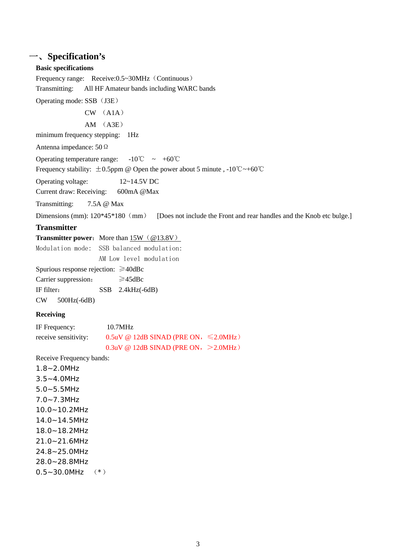#### 一、**Specification's**

#### **Basic specifications**

Frequency range: Receive: 0.5~30MHz (Continuous) Transmitting: All HF Amateur bands including WARC bands

Operating mode: SSB (J3E)

CW (A1A)

AM (A3E)

minimum frequency stepping: 1Hz

Antenna impedance: 50Ω

Operating temperature range:  $-10^{\circ}\text{C} \sim +60^{\circ}\text{C}$ 

Frequency stability:  $\pm 0.5$ ppm @ Open the power about 5 minute , -10°C ~+60°C

Operating voltage: 12~14.5V DC

Current draw: Receiving: 600mA @Max

Transmitting: 7.5A @ Max

Dimensions (mm):  $120*45*180$  (mm) [Does not include the Front and rear handles and the Knob etc bulge.]

#### **Transmitter**

| <b>Transmitter power:</b> More than $15W$ (@13.8V) |  |
|----------------------------------------------------|--|
|                                                    |  |

Modulation mode: SSB balanced modulation:

AM Low level modulation

Spurious response rejection: ≥40dBc Carrier suppression: ≥45dBc IF filter: SSB 2.4kHz(-6dB)

CW 500Hz(-6dB)

#### **Receiving**

| IF Frequency:        | 10.7MHz                                        |  |
|----------------------|------------------------------------------------|--|
| receive sensitivity: | $0.5$ uV @ 12dB SINAD (PRE ON, $\leq 2.0$ MHz) |  |
|                      | $0.3$ uV @ 12dB SINAD (PRE ON, >2.0MHz)        |  |

Receive Frequency bands:

1.8~2.0MHz 3.5~4.0MHz 5.0~5.5MHz 7.0~7.3MHz 10.0~10.2MHz 14.0~14.5MHz 18.0~18.2MHz 21.0~21.6MHz 24.8~25.0MHz 28.0~28.8MHz  $0.5 - 30.0$ MHz  $(*)$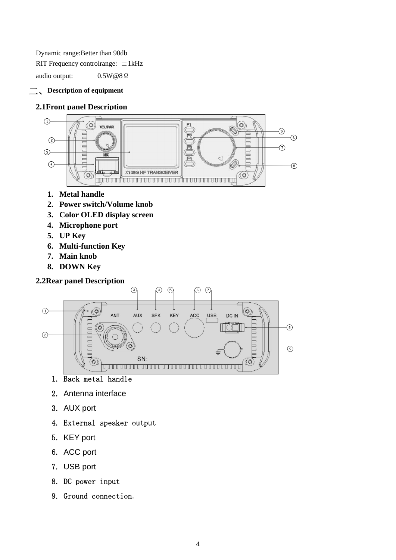Dynamic range:Better than 90db RIT Frequency controlrange:  $\pm$ 1kHz

audio output: 0.5W@8Ω

#### 二、**Description of equipment**

#### **2.1Front panel Description**



- **1. Metal handle**
- **2. Power switch/Volume knob**
- **3. Color OLED display screen**
- **4. Microphone port**
- **5. UP Key**
- **6. Multi-function Key**
- **7. Main knob**
- **8. DOWN Key**

#### **2.2Rear panel Description**



- 1. Back metal handle
- 2. Antenna interface
- 3. AUX port
- 4. External speaker output
- 5. KEY port
- 6. ACC port
- 7. USB port
- 8. DC power input
- 9. Ground connection.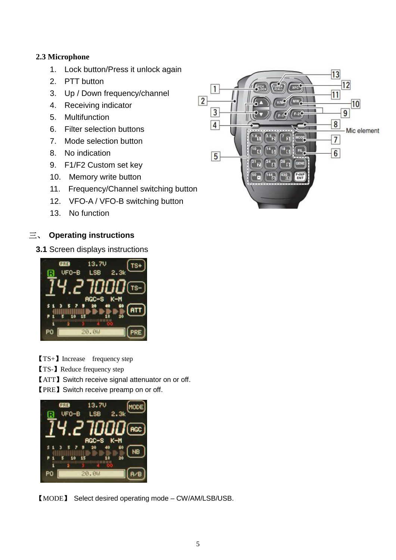#### **2.3 Microphone**

- 1. Lock button/Press it unlock again
- 2. PTT button
- 3. Up / Down frequency/channel
- 4. Receiving indicator
- 5. Multifunction
- 6. Filter selection buttons
- 7. Mode selection button
- 8. No indication
- 9. F1/F2 Custom set key
- 10. Memory write button
- 11. Frequency/Channel switching button
- 12. VFO-A / VFO-B switching button
- 13. No function

#### 三、 **Operating instructions**

**3.1** Screen displays instructions



【TS+】Increase frequency step

【TS-】Reduce frequency step

【ATT】Switch receive signal attenuator on or off.

【PRE】Switch receive preamp on or off.



【MODE】 Select desired operating mode – CW/AM/LSB/USB.

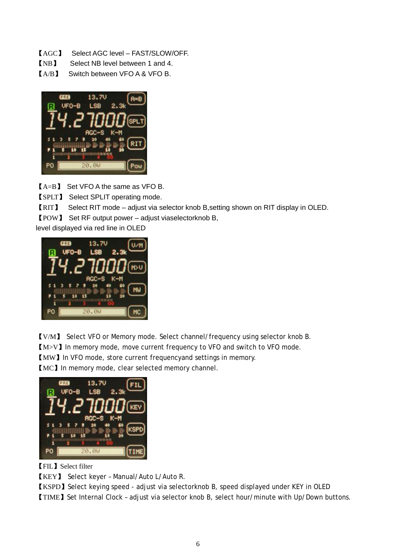- 【AGC】 Select AGC level FAST/SLOW/OFF.
- 【NB】 Select NB level between 1 and 4.
- 【A/B】 Switch between VFO A & VFO B.



 $IA = B$  Set VFO A the same as VFO B.

【SPLT】 Select SPLIT operating mode.

【RIT】 Select RIT mode – adjust via selector knob B,setting shown on RIT display in OLED.

【POW】 Set RF output power – adjust viaselectorknob B,

level displayed via red line in OLED



【V/M】 Select VFO or Memory mode. Select channel/frequency using selector knob B. 【M>V】In memory mode, move current frequency to VFO and switch to VFO mode. 【MW】In VFO mode, store current frequencyand settings in memory.

【MC】In memory mode, clear selected memory channel.



【FIL】Select filter

【KEY】 Select keyer – Manual/Auto L/Auto R.

【KSPD】Select keying speed - adjust via selectorknob B, speed displayed under KEY in OLED

【TIME】Set Internal Clock – adjust via selector knob B, select hour/minute with Up/Down buttons.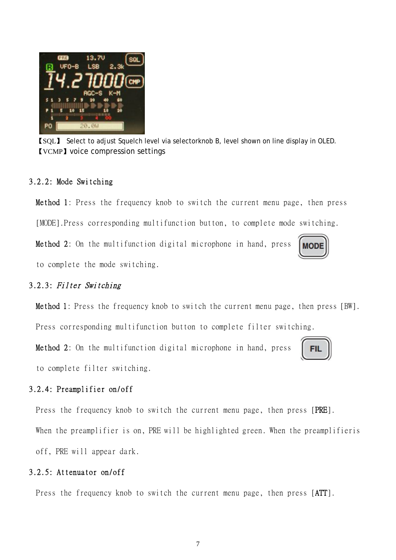【SQL】 Select to adjust Squelch level via selectorknob B, level shown on line display in OLED. 【VCMP】voice compression settings

#### 3.2.2: Mode Switching

Method 1: Press the frequency knob to switch the current menu page, then press [MODE].Press corresponding multifunction button, to complete mode switching.

Method 2: On the multifunction digital microphone in hand, press to complete the mode switching.

#### 3.2.3: Filter Switching

Method 1: Press the frequency knob to switch the current menu page, then press [BW].

Press corresponding multifunction button to complete filter switching.

Method 2: On the multifunction digital microphone in hand, press to complete filter switching.

#### 3.2.4: Preamplifier on/off

Press the frequency knob to switch the current menu page, then press [PRE].

When the preamplifier is on, PRE will be highlighted green. When the preamplifieris off, PRE will appear dark.

#### 3.2.5: Attenuator on/off

Press the frequency knob to switch the current menu page, then press [ATT].





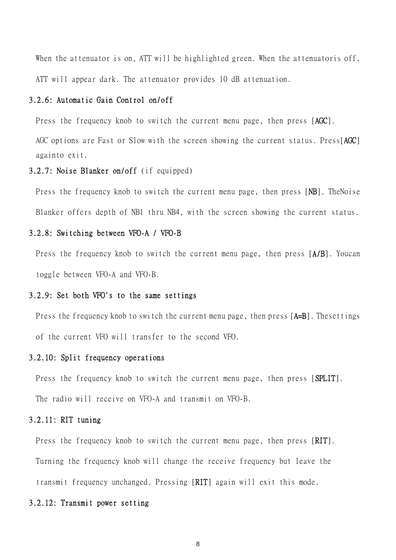When the attenuator is on, ATT will be highlighted green. When the attenuatoris off, ATT will appear dark. The attenuator provides 10 dB attenuation.

#### 3.2.6: Automatic Gain Control on/off

Press the frequency knob to switch the current menu page, then press [AGC].

AGC options are Fast or Slow with the screen showing the current status. Press[AGC] againto exit.

#### 3.2.7: Noise Blanker on/off (if equipped)

Press the frequency knob to switch the current menu page, then press [NB]. TheNoise Blanker offers depth of NB1 thru NB4, with the screen showing the current status.

#### 3.2.8: Switching between VFO-A / VFO-B

Press the frequency knob to switch the current menu page, then press [A/B]. Youcan toggle between VFO-A and VFO-B.

#### 3.2.9: Set both VFO's to the same settings

Press the frequency knob to switch the current menu page, then press [A=B]. Thesettings of the current VFO will transfer to the second VFO.

#### 3.2.10: Split frequency operations

Press the frequency knob to switch the current menu page, then press [SPLIT]. The radio will receive on VFO-A and transmit on VFO-B.

#### 3.2.11: RIT tuning

Press the frequency knob to switch the current menu page, then press [RIT]. Turning the frequency knob will change the receive frequency but leave the transmit frequency unchanged. Pressing [RIT] again will exit this mode.

#### 3.2.12: Transmit power setting

8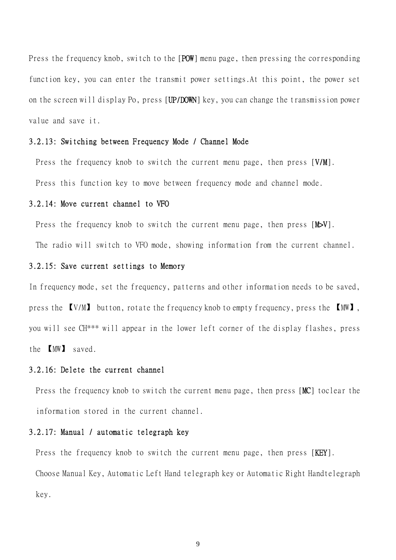Press the frequency knob, switch to the [POW] menu page, then pressing the corresponding function key, you can enter the transmit power settings.At this point, the power set on the screen will display Po, press [UP/DOWN] key, you can change the transmission power value and save it.

#### 3.2.13: Switching between Frequency Mode / Channel Mode

Press the frequency knob to switch the current menu page, then press [V/M]. Press this function key to move between frequency mode and channel mode.

#### 3.2.14: Move current channel to VFO

Press the frequency knob to switch the current menu page, then press [M>V].

The radio will switch to VFO mode, showing information from the current channel.

#### 3.2.15: Save current settings to Memory

In frequency mode, set the frequency, patterns and other information needs to be saved, press the 【V/M】 button, rotate the frequency knob to empty frequency, press the 【MW】, you will see CH\*\*\* will appear in the lower left corner of the display flashes, press the 【MW】 saved.

#### 3.2.16: Delete the current channel

Press the frequency knob to switch the current menu page, then press [MC] toclear the information stored in the current channel.

#### 3.2.17: Manual / automatic telegraph key

Press the frequency knob to switch the current menu page, then press [KEY]. Choose Manual Key, Automatic Left Hand telegraph key or Automatic Right Handtelegraph key.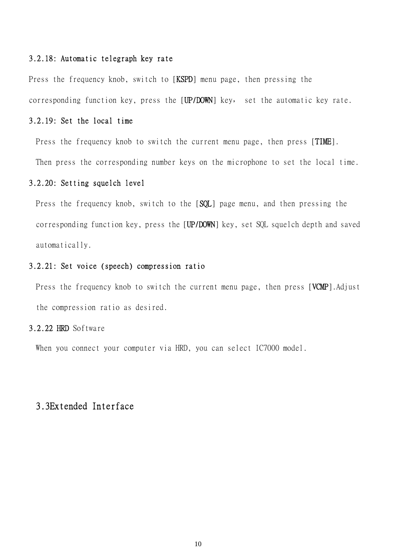#### 3.2.18: Automatic telegraph key rate

Press the frequency knob, switch to [KSPD] menu page, then pressing the corresponding function key, press the [UP/DOWN] key, set the automatic key rate.

#### 3.2.19: Set the local time

Press the frequency knob to switch the current menu page, then press [TIME].

Then press the corresponding number keys on the microphone to set the local time.

#### 3.2.20: Setting squelch level

Press the frequency knob, switch to the [SQL] page menu, and then pressing the corresponding function key, press the [UP/DOWN] key, set SQL squelch depth and saved automatically.

#### 3.2.21: Set voice (speech) compression ratio

Press the frequency knob to switch the current menu page, then press [VCMP].Adjust the compression ratio as desired.

#### 3.2.22 HRD Software

When you connect your computer via HRD, you can select IC7000 model.

#### 3.3Extended Interface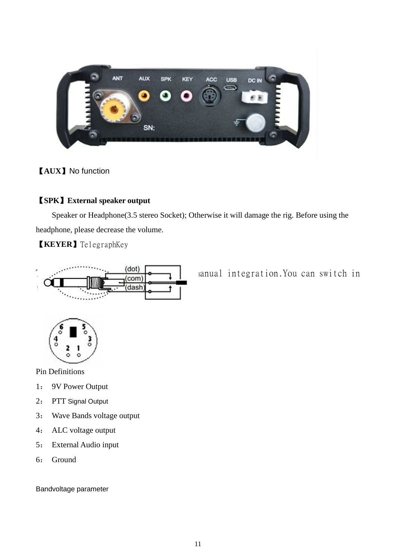

#### 【**AUX**】No function

#### 【**SPK**】**External speaker output**

Speaker or Headphone(3.5 stereo Socket); Otherwise it will damage the rig. Before using the headphone, please decrease the volume.

【**KEYER**】TelegraphKey



 $\overline{\text{(dot)}}$  anual integration. You can switch in



Pin Definitions

- 1: 9V Power Output
- 2: PTT Signal Output
- 3: Wave Bands voltage output
- 4: ALC voltage output
- 5: External Audio input
- 6: Ground

Bandvoltage parameter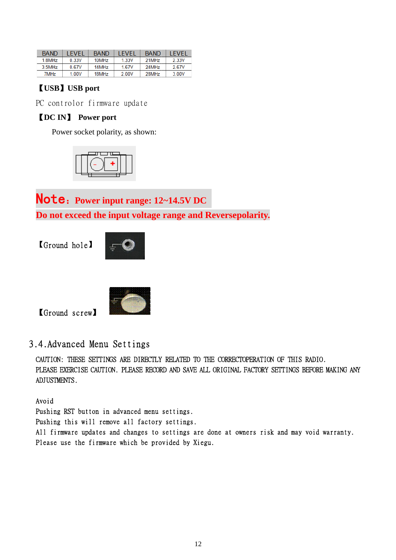| <b>BAND</b>           | <b>FVFI</b> | <b>BAND</b>       | <b>FVFI</b> | <b>BAND</b>       | <b>I FVFI</b> |
|-----------------------|-------------|-------------------|-------------|-------------------|---------------|
| $1.8$ MH <sub>z</sub> | 0.33V       | 10MH <sub>z</sub> | 1.33V       | 21MH <sub>z</sub> | 2.33V         |
| $3.5$ MH $z$          | 0.67V       | 14MH <sub>7</sub> | 167V        | 24MH <sub>7</sub> | 267V          |
| 7MH <sub>z</sub>      | 1 00V       | 18MHz             | 2.00V       | 28MH <sub>z</sub> | 3.00V         |

#### 【**USB**】**USB port**

PC controlor firmware update

#### 【**DC IN**】 **Power port**

Power socket polarity, as shown:



Note:**Power input range: 12~14.5V DC NOTE:** Power input range: 12~14.5V DC<br>Do not exceed the input voltage range and Reversepolarity.

【Ground hole】





【Ground screw】

3.4.Advanced Menu Settings

CAUTION: THESE SETTINGS ARE DIRECTLY RELATED TO THE CORRECTOPERATION OF THIS RADIO. RADIO. PLEASE EXERCISE CAUTION. PLEASE RECORD AND SAVE ALL ORIGINAL FACTORY SETTINGS BEFORE MAKING ANY ADJUSTMENTS. : THESE SETTINGS ARE DIRECTLY RELATED TO THE<br>EXERCISE CAUTION. PLEASE RECORD AND SAVE ALL OF<br>ENTS.<br>RST button in advanced menu settings.

Avoid

Pushing RST button in advanced menu settings. Pushing this will remove all factory settings. All firmware updates and changes to settings are done at owners risk and may void warranty.<br>Please use the firmware which be provided by Xiegu. Please use the firmware which be provided by Xiegu.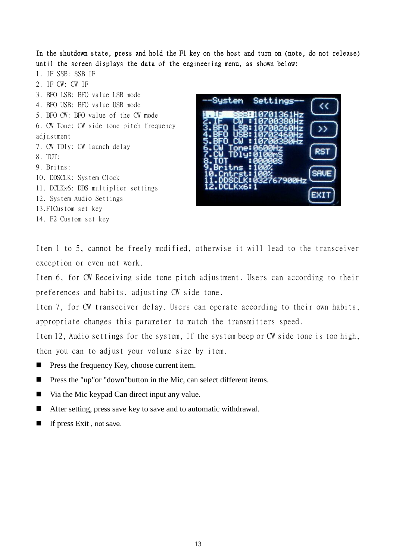In the shutdown state, press and hold the F1 key on the host and turn on (note, do not release) until the screen displays the data of the engineering menu, as shown below:

1. IF SSB: SSB IF 2. IF CW: CW IF 3. BFO LSB: BFO value LSB mode 4. BFO USB: BFO value USB mode 5. BFO CW: BFO value of the CW mode 6. CW Tone: CW side tone pitch frequency adjustment 7. CW TDly: CW launch delay 8. TOT: 9. Britns: 10. DDSCLK: System Clock 11. DCLKx6: DDS multiplier settings 12. System Audio Settings 13.F1Custom set key 14. F2 Custom set key



Item 1 to 5, cannot be freely modified, otherwise it will lead to the transceiver exception or even not work.

Item 6, for CW Receiving side tone pitch adjustment. Users can according to their preferences and habits, adjusting CW side tone.

Item 7, for CW transceiver delay. Users can operate according to their own habits, appropriate changes this parameter to match the transmitters speed.

Item 12, Audio settings for the system, If the system beep or CW side tone is too high, then you can to adjust your volume size by item.

- **n** Press the frequency Key, choose current item.
- Press the "up"or "down"button in the Mic, can select different items.
- $\blacksquare$  Via the Mic keypad Can direct input any value.
- $\blacksquare$  After setting, press save key to save and to automatic withdrawal.
- $\blacksquare$  If press Exit, not save.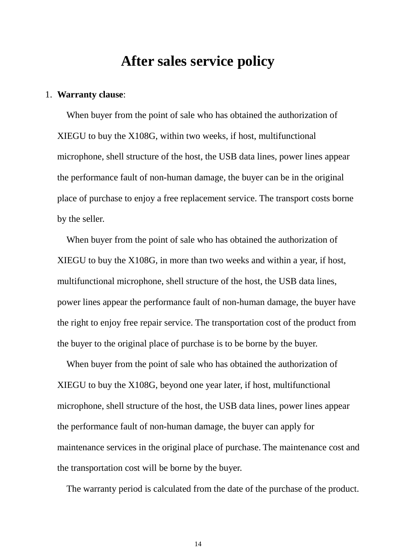## **After sales service policy**

#### 1. **Warranty clause**:

When buyer from the point of sale who has obtained the authorization of XIEGU to buy the X108G, within two weeks, if host, multifunctional microphone, shell structure of the host, the USB data lines, power lines appear the performance fault of non-human damage, the buyer can be in the original place of purchase to enjoy a free replacement service. The transport costs borne by the seller.

When buyer from the point of sale who has obtained the authorization of XIEGU to buy the X108G, in more than two weeks and within a year, if host, multifunctional microphone, shell structure of the host, the USB data lines, power lines appear the performance fault of non-human damage, the buyer have the right to enjoy free repair service. The transportation cost of the product from the buyer to the original place of purchase is to be borne by the buyer.

When buyer from the point of sale who has obtained the authorization of XIEGU to buy the X108G, beyond one year later, if host, multifunctional microphone, shell structure of the host, the USB data lines, power lines appear the performance fault of non-human damage, the buyer can apply for maintenance services in the original place of purchase. The maintenance cost and the transportation cost will be borne by the buyer.

The warranty period is calculated from the date of the purchase of the product.

14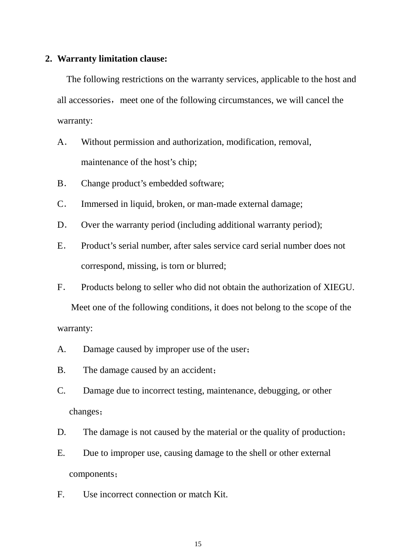#### **2. Warranty limitation clause:**

The following restrictions on the warranty services, applicable to the host and all accessories, meet one of the following circumstances, we will cancel the warranty:

- A. Without permission and authorization, modification, removal, maintenance of the host's chip;
- B. Change product's embedded software;
- C. Immersed in liquid, broken, or man-made external damage;
- D. Over the warranty period (including additional warranty period);
- E. Product's serial number, after sales service card serial number does not correspond, missing, is torn or blurred;
- F. Products belong to seller who did not obtain the authorization of XIEGU.

 Meet one of the following conditions, it does not belong to the scope of the warranty:

- A. Damage caused by improper use of the user;
- B. The damage caused by an accident;
- C. Damage due to incorrect testing, maintenance, debugging, or other changes;
- D. The damage is not caused by the material or the quality of production;
- E. Due to improper use, causing damage to the shell or other external components;
- F. Use incorrect connection or match Kit.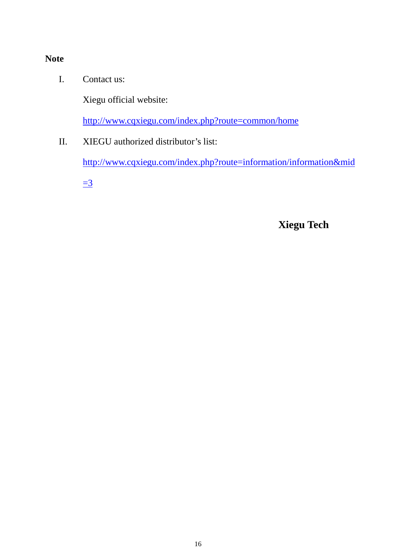#### **Note**

I. Contact us:

Xiegu official website:

http://www.cqxiegu.com/index.php?route=common/home

II. XIEGU authorized distributor's list:

http://www.cqxiegu.com/index.php?route=information/information&mid

 $\equiv$ <sup>3</sup>

**Xiegu Tech**